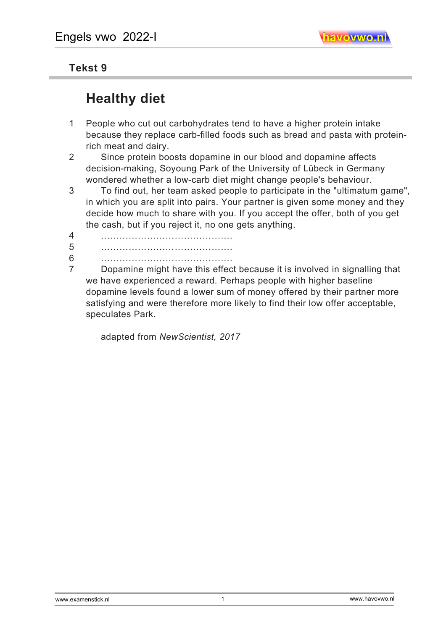## **Tekst 9**

## **Healthy diet**

- 1 People who cut out carbohydrates tend to have a higher protein intake because they replace carb-filled foods such as bread and pasta with proteinrich meat and dairy.
- 2 Since protein boosts dopamine in our blood and dopamine affects decision-making, Soyoung Park of the University of Lübeck in Germany wondered whether a low-carb diet might change people's behaviour.
- 3 To find out, her team asked people to participate in the "ultimatum game", in which you are split into pairs. Your partner is given some money and they decide how much to share with you. If you accept the offer, both of you get the cash, but if you reject it, no one gets anything.
- 4 …………………………………….
- 5 …………………………………….
- 6 …………………………………….
- 7 Dopamine might have this effect because it is involved in signalling that we have experienced a reward. Perhaps people with higher baseline dopamine levels found a lower sum of money offered by their partner more satisfying and were therefore more likely to find their low offer acceptable, speculates Park.

adapted from *NewScientist, 2017*